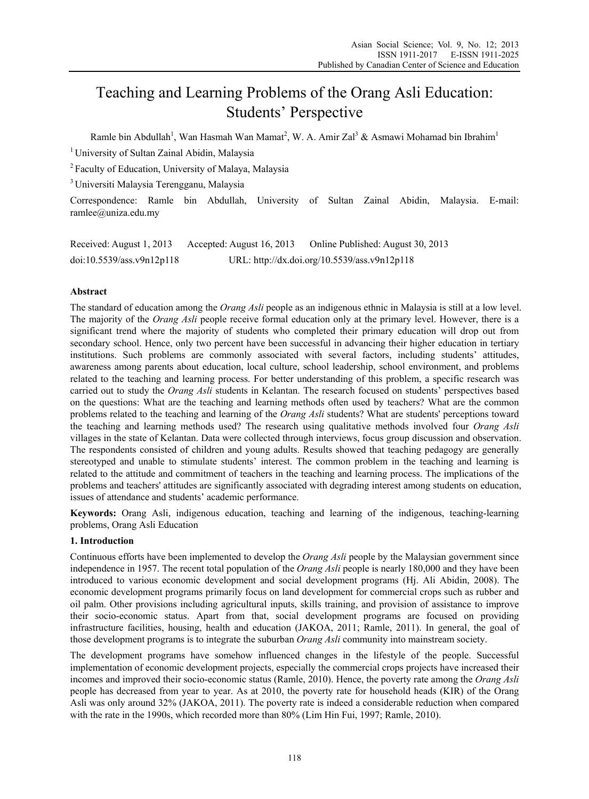# Teaching and Learning Problems of the Orang Asli Education: Students' Perspective

Ramle bin Abdullah<sup>1</sup>, Wan Hasmah Wan Mamat<sup>2</sup>, W. A. Amir Zal<sup>3</sup> & Asmawi Mohamad bin Ibrahim<sup>1</sup>

<sup>1</sup> University of Sultan Zainal Abidin, Malaysia

2 Faculty of Education, University of Malaya, Malaysia

3 Universiti Malaysia Terengganu, Malaysia

Correspondence: Ramle bin Abdullah, University of Sultan Zainal Abidin, Malaysia. E-mail: ramlee@uniza.edu.my

| Received: August 1, 2013  | Accepted: August 16, 2013 | Online Published: August 30, 2013            |
|---------------------------|---------------------------|----------------------------------------------|
| doi:10.5539/ass.v9n12p118 |                           | URL: http://dx.doi.org/10.5539/ass.v9n12p118 |

# **Abstract**

The standard of education among the *Orang Asli* people as an indigenous ethnic in Malaysia is still at a low level. The majority of the *Orang Asli* people receive formal education only at the primary level. However, there is a significant trend where the majority of students who completed their primary education will drop out from secondary school. Hence, only two percent have been successful in advancing their higher education in tertiary institutions. Such problems are commonly associated with several factors, including students' attitudes, awareness among parents about education, local culture, school leadership, school environment, and problems related to the teaching and learning process. For better understanding of this problem, a specific research was carried out to study the *Orang Asli* students in Kelantan. The research focused on students' perspectives based on the questions: What are the teaching and learning methods often used by teachers? What are the common problems related to the teaching and learning of the *Orang Asli* students? What are students' perceptions toward the teaching and learning methods used? The research using qualitative methods involved four *Orang Asli* villages in the state of Kelantan. Data were collected through interviews, focus group discussion and observation. The respondents consisted of children and young adults. Results showed that teaching pedagogy are generally stereotyped and unable to stimulate students' interest. The common problem in the teaching and learning is related to the attitude and commitment of teachers in the teaching and learning process. The implications of the problems and teachers' attitudes are significantly associated with degrading interest among students on education, issues of attendance and students' academic performance.

**Keywords:** Orang Asli, indigenous education, teaching and learning of the indigenous, teaching-learning problems, Orang Asli Education

## **1. Introduction**

Continuous efforts have been implemented to develop the *Orang Asli* people by the Malaysian government since independence in 1957. The recent total population of the *Orang Asli* people is nearly 180,000 and they have been introduced to various economic development and social development programs (Hj. Ali Abidin, 2008). The economic development programs primarily focus on land development for commercial crops such as rubber and oil palm. Other provisions including agricultural inputs, skills training, and provision of assistance to improve their socio-economic status. Apart from that, social development programs are focused on providing infrastructure facilities, housing, health and education (JAKOA, 2011; Ramle, 2011). In general, the goal of those development programs is to integrate the suburban *Orang Asli* community into mainstream society.

The development programs have somehow influenced changes in the lifestyle of the people. Successful implementation of economic development projects, especially the commercial crops projects have increased their incomes and improved their socio-economic status (Ramle, 2010). Hence, the poverty rate among the *Orang Asli* people has decreased from year to year. As at 2010, the poverty rate for household heads (KIR) of the Orang Asli was only around 32% (JAKOA, 2011). The poverty rate is indeed a considerable reduction when compared with the rate in the 1990s, which recorded more than 80% (Lim Hin Fui, 1997; Ramle, 2010).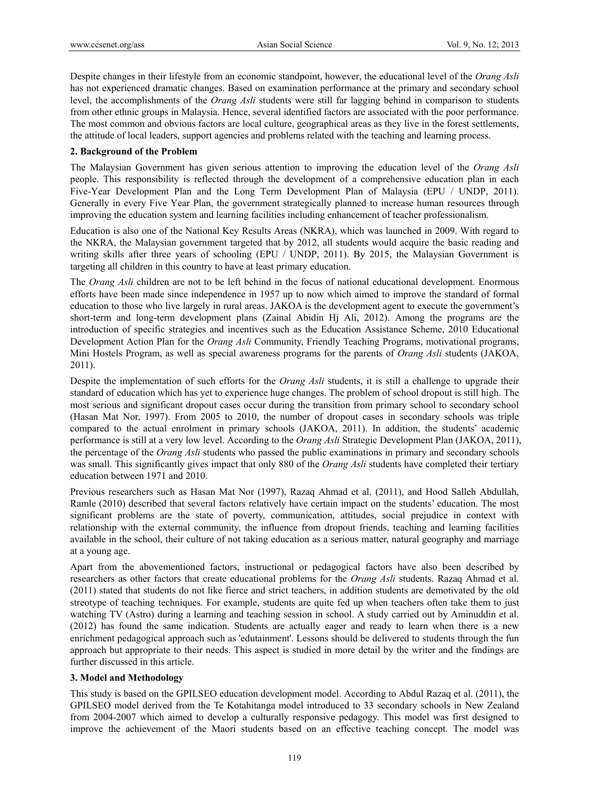Despite changes in their lifestyle from an economic standpoint, however, the educational level of the *Orang Asli* has not experienced dramatic changes. Based on examination performance at the primary and secondary school level, the accomplishments of the *Orang Asli* students were still far lagging behind in comparison to students from other ethnic groups in Malaysia. Hence, several identified factors are associated with the poor performance. The most common and obvious factors are local culture, geographical areas as they live in the forest settlements, the attitude of local leaders, support agencies and problems related with the teaching and learning process.

# **2. Background of the Problem**

The Malaysian Government has given serious attention to improving the education level of the *Orang Asli* people. This responsibility is reflected through the development of a comprehensive education plan in each Five-Year Development Plan and the Long Term Development Plan of Malaysia (EPU / UNDP, 2011). Generally in every Five Year Plan, the government strategically planned to increase human resources through improving the education system and learning facilities including enhancement of teacher professionalism.

Education is also one of the National Key Results Areas (NKRA), which was launched in 2009. With regard to the NKRA, the Malaysian government targeted that by 2012, all students would acquire the basic reading and writing skills after three years of schooling (EPU / UNDP, 2011). By 2015, the Malaysian Government is targeting all children in this country to have at least primary education.

The *Orang Asli* children are not to be left behind in the focus of national educational development. Enormous efforts have been made since independence in 1957 up to now which aimed to improve the standard of formal education to those who live largely in rural areas. JAKOA is the development agent to execute the government's short-term and long-term development plans (Zainal Abidin Hj Ali, 2012). Among the programs are the introduction of specific strategies and incentives such as the Education Assistance Scheme, 2010 Educational Development Action Plan for the *Orang Asli* Community, Friendly Teaching Programs, motivational programs, Mini Hostels Program, as well as special awareness programs for the parents of *Orang Asli* students (JAKOA, 2011).

Despite the implementation of such efforts for the *Orang Asli* students, it is still a challenge to upgrade their standard of education which has yet to experience huge changes. The problem of school dropout is still high. The most serious and significant dropout cases occur during the transition from primary school to secondary school (Hasan Mat Nor, 1997). From 2005 to 2010, the number of dropout cases in secondary schools was triple compared to the actual enrolment in primary schools (JAKOA, 2011). In addition, the students' academic performance is still at a very low level. According to the *Orang Asli* Strategic Development Plan (JAKOA, 2011), the percentage of the *Orang Asli* students who passed the public examinations in primary and secondary schools was small. This significantly gives impact that only 880 of the *Orang Asli* students have completed their tertiary education between 1971 and 2010.

Previous researchers such as Hasan Mat Nor (1997), Razaq Ahmad et al. (2011), and Hood Salleh Abdullah, Ramle (2010) described that several factors relatively have certain impact on the students' education. The most significant problems are the state of poverty, communication, attitudes, social prejudice in context with relationship with the external community, the influence from dropout friends, teaching and learning facilities available in the school, their culture of not taking education as a serious matter, natural geography and marriage at a young age.

Apart from the abovementioned factors, instructional or pedagogical factors have also been described by researchers as other factors that create educational problems for the *Orang Asli* students. Razaq Ahmad et al. (2011) stated that students do not like fierce and strict teachers, in addition students are demotivated by the old streotype of teaching techniques. For example, students are quite fed up when teachers often take them to just watching TV (Astro) during a learning and teaching session in school. A study carried out by Aminuddin et al. (2012) has found the same indication. Students are actually eager and ready to learn when there is a new enrichment pedagogical approach such as 'edutainment'. Lessons should be delivered to students through the fun approach but appropriate to their needs. This aspect is studied in more detail by the writer and the findings are further discussed in this article.

## **3. Model and Methodology**

This study is based on the GPILSEO education development model. According to Abdul Razaq et al. (2011), the GPILSEO model derived from the Te Kotahitanga model introduced to 33 secondary schools in New Zealand from 2004-2007 which aimed to develop a culturally responsive pedagogy. This model was first designed to improve the achievement of the Maori students based on an effective teaching concept. The model was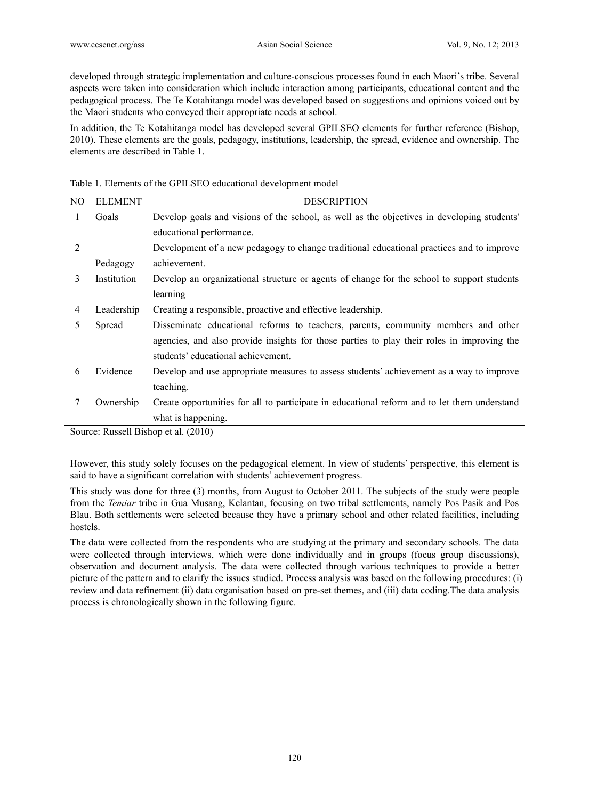developed through strategic implementation and culture-conscious processes found in each Maori's tribe. Several aspects were taken into consideration which include interaction among participants, educational content and the pedagogical process. The Te Kotahitanga model was developed based on suggestions and opinions voiced out by the Maori students who conveyed their appropriate needs at school.

In addition, the Te Kotahitanga model has developed several GPILSEO elements for further reference (Bishop, 2010). These elements are the goals, pedagogy, institutions, leadership, the spread, evidence and ownership. The elements are described in Table 1.

Table 1. Elements of the GPILSEO educational development model

| NO. | <b>ELEMENT</b> | <b>DESCRIPTION</b>                                                                           |
|-----|----------------|----------------------------------------------------------------------------------------------|
| 1   | Goals          | Develop goals and visions of the school, as well as the objectives in developing students'   |
|     |                | educational performance.                                                                     |
| 2   |                | Development of a new pedagogy to change traditional educational practices and to improve     |
|     | Pedagogy       | achievement.                                                                                 |
| 3   | Institution    | Develop an organizational structure or agents of change for the school to support students   |
|     |                | learning                                                                                     |
| 4   | Leadership     | Creating a responsible, proactive and effective leadership.                                  |
| 5   | Spread         | Disseminate educational reforms to teachers, parents, community members and other            |
|     |                | agencies, and also provide insights for those parties to play their roles in improving the   |
|     |                | students' educational achievement.                                                           |
| 6   | Evidence       | Develop and use appropriate measures to assess students' achievement as a way to improve     |
|     |                | teaching.                                                                                    |
| 7   | Ownership      | Create opportunities for all to participate in educational reform and to let them understand |
|     |                | what is happening.                                                                           |

Source: Russell Bishop et al. (2010)

However, this study solely focuses on the pedagogical element. In view of students' perspective, this element is said to have a significant correlation with students' achievement progress.

This study was done for three (3) months, from August to October 2011. The subjects of the study were people from the *Temiar* tribe in Gua Musang, Kelantan, focusing on two tribal settlements, namely Pos Pasik and Pos Blau. Both settlements were selected because they have a primary school and other related facilities, including hostels.

The data were collected from the respondents who are studying at the primary and secondary schools. The data were collected through interviews, which were done individually and in groups (focus group discussions), observation and document analysis. The data were collected through various techniques to provide a better picture of the pattern and to clarify the issues studied. Process analysis was based on the following procedures: (i) review and data refinement (ii) data organisation based on pre-set themes, and (iii) data coding.The data analysis process is chronologically shown in the following figure.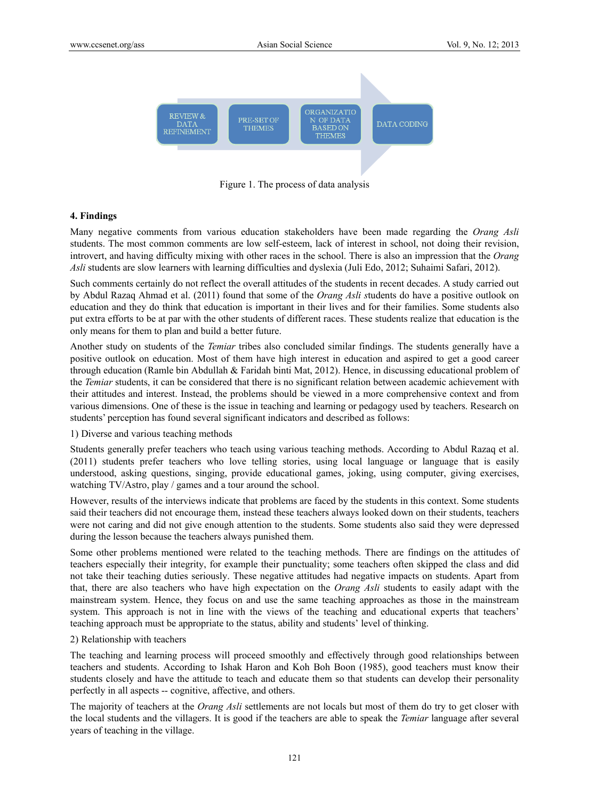

Figure 1. The process of data analysis

#### **4. Findings**

Many negative comments from various education stakeholders have been made regarding the *Orang Asli*  students. The most common comments are low self-esteem, lack of interest in school, not doing their revision, introvert, and having difficulty mixing with other races in the school. There is also an impression that the *Orang Asli* students are slow learners with learning difficulties and dyslexia (Juli Edo, 2012; Suhaimi Safari, 2012).

Such comments certainly do not reflect the overall attitudes of the students in recent decades. A study carried out by Abdul Razaq Ahmad et al. (2011) found that some of the *Orang Asli s*tudents do have a positive outlook on education and they do think that education is important in their lives and for their families. Some students also put extra efforts to be at par with the other students of different races. These students realize that education is the only means for them to plan and build a better future.

Another study on students of the *Temiar* tribes also concluded similar findings. The students generally have a positive outlook on education. Most of them have high interest in education and aspired to get a good career through education (Ramle bin Abdullah & Faridah binti Mat, 2012). Hence, in discussing educational problem of the *Temiar* students, it can be considered that there is no significant relation between academic achievement with their attitudes and interest. Instead, the problems should be viewed in a more comprehensive context and from various dimensions. One of these is the issue in teaching and learning or pedagogy used by teachers. Research on students' perception has found several significant indicators and described as follows:

#### 1) Diverse and various teaching methods

Students generally prefer teachers who teach using various teaching methods. According to Abdul Razaq et al. (2011) students prefer teachers who love telling stories, using local language or language that is easily understood, asking questions, singing, provide educational games, joking, using computer, giving exercises, watching TV/Astro, play / games and a tour around the school.

However, results of the interviews indicate that problems are faced by the students in this context. Some students said their teachers did not encourage them, instead these teachers always looked down on their students, teachers were not caring and did not give enough attention to the students. Some students also said they were depressed during the lesson because the teachers always punished them.

Some other problems mentioned were related to the teaching methods. There are findings on the attitudes of teachers especially their integrity, for example their punctuality; some teachers often skipped the class and did not take their teaching duties seriously. These negative attitudes had negative impacts on students. Apart from that, there are also teachers who have high expectation on the *Orang Asli* students to easily adapt with the mainstream system. Hence, they focus on and use the same teaching approaches as those in the mainstream system. This approach is not in line with the views of the teaching and educational experts that teachers' teaching approach must be appropriate to the status, ability and students' level of thinking.

#### 2) Relationship with teachers

The teaching and learning process will proceed smoothly and effectively through good relationships between teachers and students. According to Ishak Haron and Koh Boh Boon (1985), good teachers must know their students closely and have the attitude to teach and educate them so that students can develop their personality perfectly in all aspects -- cognitive, affective, and others.

The majority of teachers at the *Orang Asli* settlements are not locals but most of them do try to get closer with the local students and the villagers. It is good if the teachers are able to speak the *Temiar* language after several years of teaching in the village.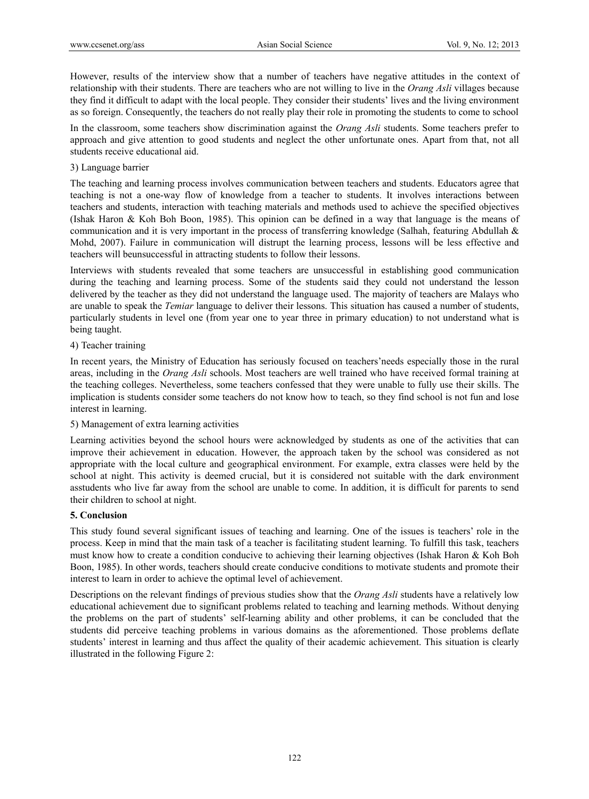However, results of the interview show that a number of teachers have negative attitudes in the context of relationship with their students. There are teachers who are not willing to live in the *Orang Asli* villages because they find it difficult to adapt with the local people. They consider their students' lives and the living environment as so foreign. Consequently, the teachers do not really play their role in promoting the students to come to school

In the classroom, some teachers show discrimination against the *Orang Asli* students. Some teachers prefer to approach and give attention to good students and neglect the other unfortunate ones. Apart from that, not all students receive educational aid.

## 3) Language barrier

The teaching and learning process involves communication between teachers and students. Educators agree that teaching is not a one-way flow of knowledge from a teacher to students. It involves interactions between teachers and students, interaction with teaching materials and methods used to achieve the specified objectives (Ishak Haron & Koh Boh Boon, 1985). This opinion can be defined in a way that language is the means of communication and it is very important in the process of transferring knowledge (Salhah, featuring Abdullah & Mohd, 2007). Failure in communication will distrupt the learning process, lessons will be less effective and teachers will beunsuccessful in attracting students to follow their lessons.

Interviews with students revealed that some teachers are unsuccessful in establishing good communication during the teaching and learning process. Some of the students said they could not understand the lesson delivered by the teacher as they did not understand the language used. The majority of teachers are Malays who are unable to speak the *Temiar* language to deliver their lessons. This situation has caused a number of students, particularly students in level one (from year one to year three in primary education) to not understand what is being taught.

# 4) Teacher training

In recent years, the Ministry of Education has seriously focused on teachers'needs especially those in the rural areas, including in the *Orang Asli* schools. Most teachers are well trained who have received formal training at the teaching colleges. Nevertheless, some teachers confessed that they were unable to fully use their skills. The implication is students consider some teachers do not know how to teach, so they find school is not fun and lose interest in learning.

## 5) Management of extra learning activities

Learning activities beyond the school hours were acknowledged by students as one of the activities that can improve their achievement in education. However, the approach taken by the school was considered as not appropriate with the local culture and geographical environment. For example, extra classes were held by the school at night. This activity is deemed crucial, but it is considered not suitable with the dark environment asstudents who live far away from the school are unable to come. In addition, it is difficult for parents to send their children to school at night.

## **5. Conclusion**

This study found several significant issues of teaching and learning. One of the issues is teachers' role in the process. Keep in mind that the main task of a teacher is facilitating student learning. To fulfill this task, teachers must know how to create a condition conducive to achieving their learning objectives (Ishak Haron & Koh Boh Boon, 1985). In other words, teachers should create conducive conditions to motivate students and promote their interest to learn in order to achieve the optimal level of achievement.

Descriptions on the relevant findings of previous studies show that the *Orang Asli* students have a relatively low educational achievement due to significant problems related to teaching and learning methods. Without denying the problems on the part of students' self-learning ability and other problems, it can be concluded that the students did perceive teaching problems in various domains as the aforementioned. Those problems deflate students' interest in learning and thus affect the quality of their academic achievement. This situation is clearly illustrated in the following Figure 2: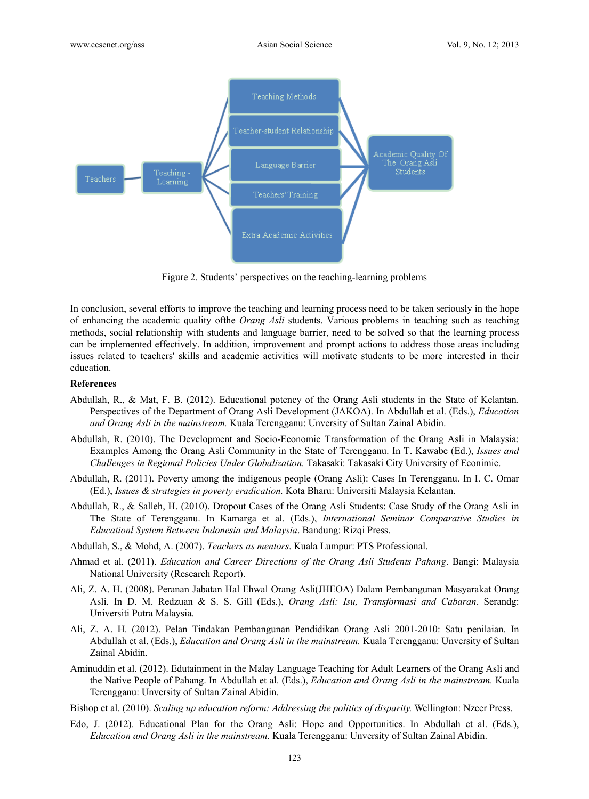

Figure 2. Students' perspectives on the teaching-learning problems

In conclusion, several efforts to improve the teaching and learning process need to be taken seriously in the hope of enhancing the academic quality ofthe *Orang Asli* students. Various problems in teaching such as teaching methods, social relationship with students and language barrier, need to be solved so that the learning process can be implemented effectively. In addition, improvement and prompt actions to address those areas including issues related to teachers' skills and academic activities will motivate students to be more interested in their education.

### **References**

- Abdullah, R., & Mat, F. B. (2012). Educational potency of the Orang Asli students in the State of Kelantan. Perspectives of the Department of Orang Asli Development (JAKOA). In Abdullah et al. (Eds.), *Education and Orang Asli in the mainstream.* Kuala Terengganu: Unversity of Sultan Zainal Abidin.
- Abdullah, R. (2010). The Development and Socio-Economic Transformation of the Orang Asli in Malaysia: Examples Among the Orang Asli Community in the State of Terengganu. In T. Kawabe (Ed.), *Issues and Challenges in Regional Policies Under Globalization.* Takasaki: Takasaki City University of Econimic.
- Abdullah, R. (2011). Poverty among the indigenous people (Orang Asli): Cases In Terengganu. In I. C. Omar (Ed.), *Issues & strategies in poverty eradication.* Kota Bharu: Universiti Malaysia Kelantan.
- Abdullah, R., & Salleh, H. (2010). Dropout Cases of the Orang Asli Students: Case Study of the Orang Asli in The State of Terengganu. In Kamarga et al. (Eds.), *International Seminar Comparative Studies in Educationl System Between Indonesia and Malaysia*. Bandung: Rizqi Press.
- Abdullah, S., & Mohd, A. (2007). *Teachers as mentors*. Kuala Lumpur: PTS Professional.
- Ahmad et al. (2011). *Education and Career Directions of the Orang Asli Students Pahang*. Bangi: Malaysia National University (Research Report).
- Ali, Z. A. H. (2008). Peranan Jabatan Hal Ehwal Orang Asli(JHEOA) Dalam Pembangunan Masyarakat Orang Asli. In D. M. Redzuan & S. S. Gill (Eds.), *Orang Asli: Isu, Transformasi and Cabaran*. Serandg: Universiti Putra Malaysia.
- Ali, Z. A. H. (2012). Pelan Tindakan Pembangunan Pendidikan Orang Asli 2001-2010: Satu penilaian. In Abdullah et al. (Eds.), *Education and Orang Asli in the mainstream.* Kuala Terengganu: Unversity of Sultan Zainal Abidin.
- Aminuddin et al. (2012). Edutainment in the Malay Language Teaching for Adult Learners of the Orang Asli and the Native People of Pahang. In Abdullah et al. (Eds.), *Education and Orang Asli in the mainstream.* Kuala Terengganu: Unversity of Sultan Zainal Abidin.
- Bishop et al. (2010). *Scaling up education reform: Addressing the politics of disparity.* Wellington: Nzcer Press.
- Edo, J. (2012). Educational Plan for the Orang Asli: Hope and Opportunities. In Abdullah et al. (Eds.), *Education and Orang Asli in the mainstream.* Kuala Terengganu: Unversity of Sultan Zainal Abidin.